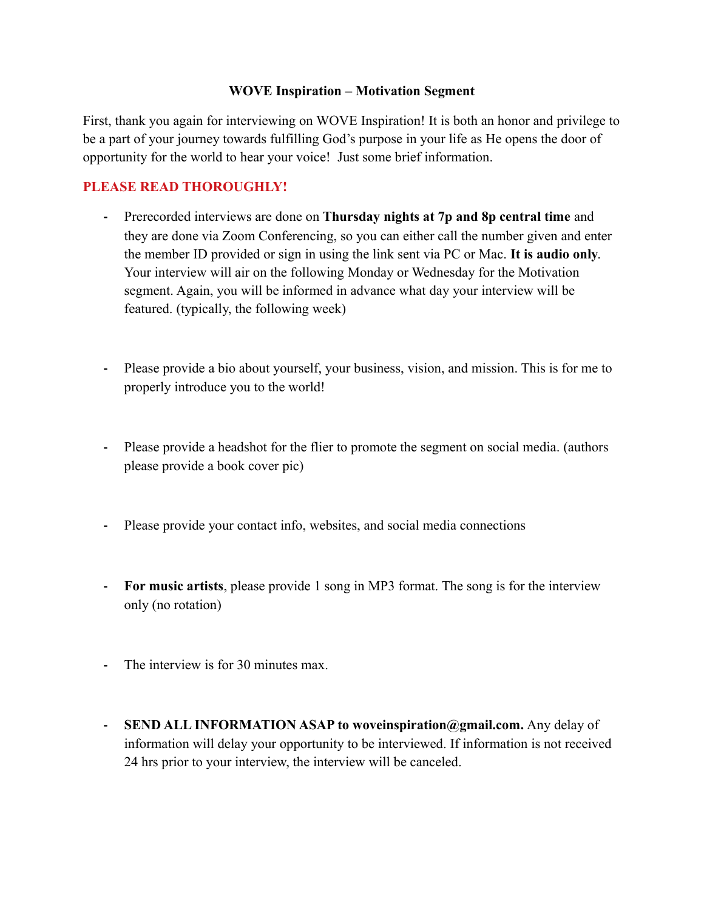## **WOVE Inspiration – Motivation Segment**

First, thank you again for interviewing on WOVE Inspiration! It is both an honor and privilege to be a part of your journey towards fulfilling God's purpose in your life as He opens the door of opportunity for the world to hear your voice! Just some brief information.

## **PLEASE READ THOROUGHLY!**

- **-** Prerecorded interviews are done on **Thursday nights at 7p and 8p central time** and they are done via Zoom Conferencing, so you can either call the number given and enter the member ID provided or sign in using the link sent via PC or Mac. **It is audio only**. Your interview will air on the following Monday or Wednesday for the Motivation segment. Again, you will be informed in advance what day your interview will be featured. (typically, the following week)
- **-** Please provide a bio about yourself, your business, vision, and mission. This is for me to properly introduce you to the world!
- **-** Please provide a headshot for the flier to promote the segment on social media. (authors please provide a book cover pic)
- **-** Please provide your contact info, websites, and social media connections
- **- For music artists**, please provide 1 song in MP3 format. The song is for the interview only (no rotation)
- **-** The interview is for 30 minutes max.
- **- SEND ALL INFORMATION ASAP to woveinspiration@gmail.com.** Any delay of information will delay your opportunity to be interviewed. If information is not received 24 hrs prior to your interview, the interview will be canceled.